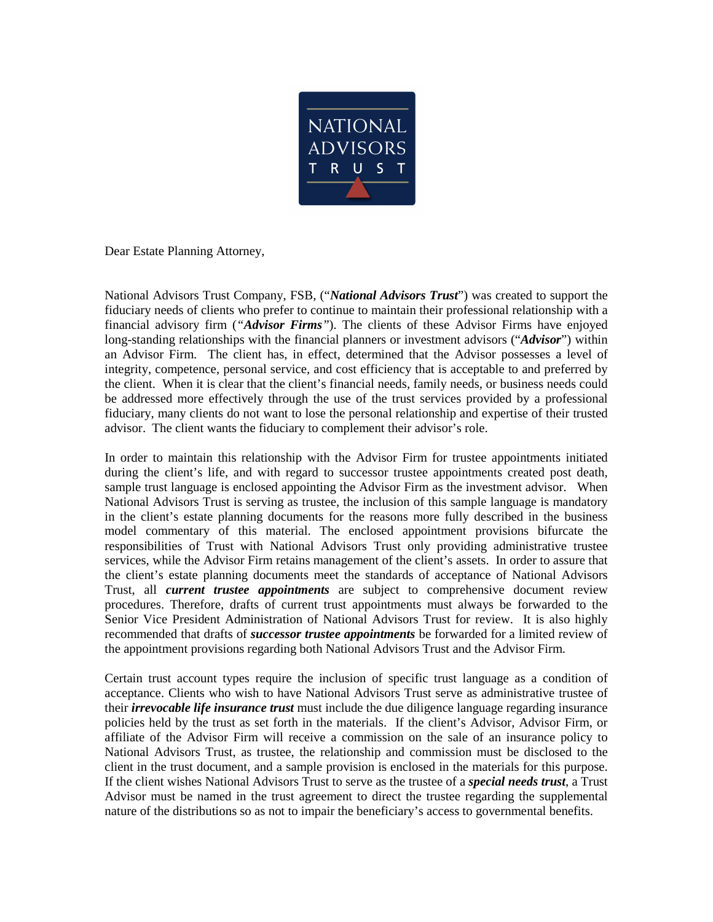

Dear Estate Planning Attorney,

National Advisors Trust Company, FSB, ("*National Advisors Trust*") was created to support the fiduciary needs of clients who prefer to continue to maintain their professional relationship with a financial advisory firm (*"Advisor Firms"*). The clients of these Advisor Firms have enjoyed long-standing relationships with the financial planners or investment advisors ("*Advisor*") within an Advisor Firm. The client has, in effect, determined that the Advisor possesses a level of integrity, competence, personal service, and cost efficiency that is acceptable to and preferred by the client. When it is clear that the client's financial needs, family needs, or business needs could be addressed more effectively through the use of the trust services provided by a professional fiduciary, many clients do not want to lose the personal relationship and expertise of their trusted advisor. The client wants the fiduciary to complement their advisor's role.

In order to maintain this relationship with the Advisor Firm for trustee appointments initiated during the client's life, and with regard to successor trustee appointments created post death, sample trust language is enclosed appointing the Advisor Firm as the investment advisor. When National Advisors Trust is serving as trustee, the inclusion of this sample language is mandatory in the client's estate planning documents for the reasons more fully described in the business model commentary of this material. The enclosed appointment provisions bifurcate the responsibilities of Trust with National Advisors Trust only providing administrative trustee services, while the Advisor Firm retains management of the client's assets. In order to assure that the client's estate planning documents meet the standards of acceptance of National Advisors Trust, all *current trustee appointments* are subject to comprehensive document review procedures. Therefore, drafts of current trust appointments must always be forwarded to the Senior Vice President Administration of National Advisors Trust for review. It is also highly recommended that drafts of *successor trustee appointments* be forwarded for a limited review of the appointment provisions regarding both National Advisors Trust and the Advisor Firm.

Certain trust account types require the inclusion of specific trust language as a condition of acceptance. Clients who wish to have National Advisors Trust serve as administrative trustee of their *irrevocable life insurance trust* must include the due diligence language regarding insurance policies held by the trust as set forth in the materials. If the client's Advisor, Advisor Firm, or affiliate of the Advisor Firm will receive a commission on the sale of an insurance policy to National Advisors Trust, as trustee, the relationship and commission must be disclosed to the client in the trust document, and a sample provision is enclosed in the materials for this purpose. If the client wishes National Advisors Trust to serve as the trustee of a *special needs trust*, a Trust Advisor must be named in the trust agreement to direct the trustee regarding the supplemental nature of the distributions so as not to impair the beneficiary's access to governmental benefits.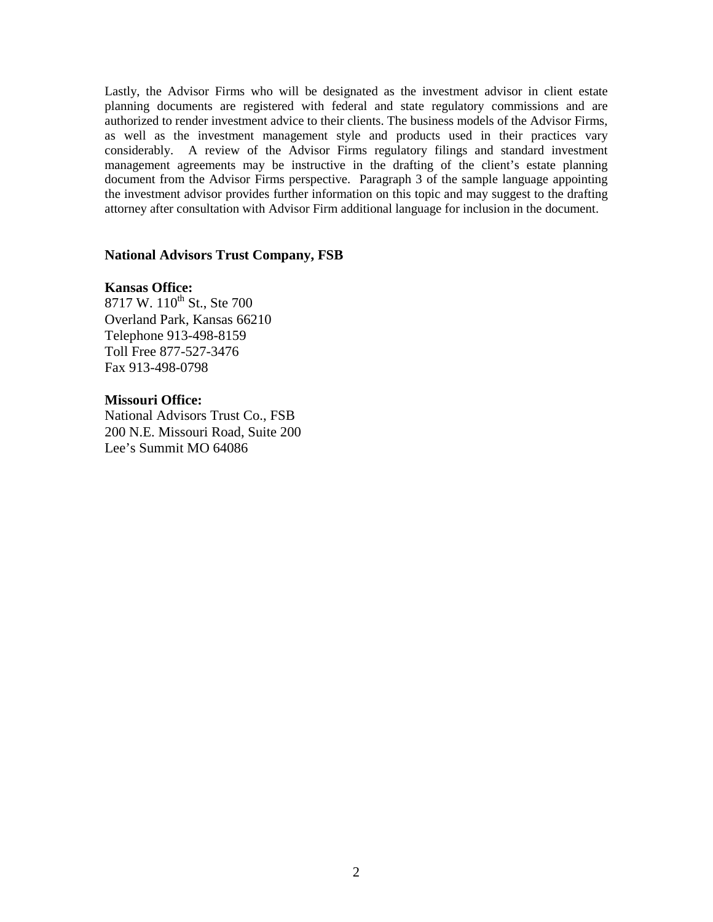Lastly, the Advisor Firms who will be designated as the investment advisor in client estate planning documents are registered with federal and state regulatory commissions and are authorized to render investment advice to their clients. The business models of the Advisor Firms, as well as the investment management style and products used in their practices vary considerably. A review of the Advisor Firms regulatory filings and standard investment management agreements may be instructive in the drafting of the client's estate planning document from the Advisor Firms perspective. Paragraph 3 of the sample language appointing the investment advisor provides further information on this topic and may suggest to the drafting attorney after consultation with Advisor Firm additional language for inclusion in the document.

### **National Advisors Trust Company, FSB**

# **Kansas Office:**

8717 W. 110<sup>th</sup> St., Ste 700 Overland Park, Kansas 66210 Telephone 913-498-8159 Toll Free 877-527-3476 Fax 913-498-0798

# **Missouri Office:**

National Advisors Trust Co., FSB 200 N.E. Missouri Road, Suite 200 Lee's Summit MO 64086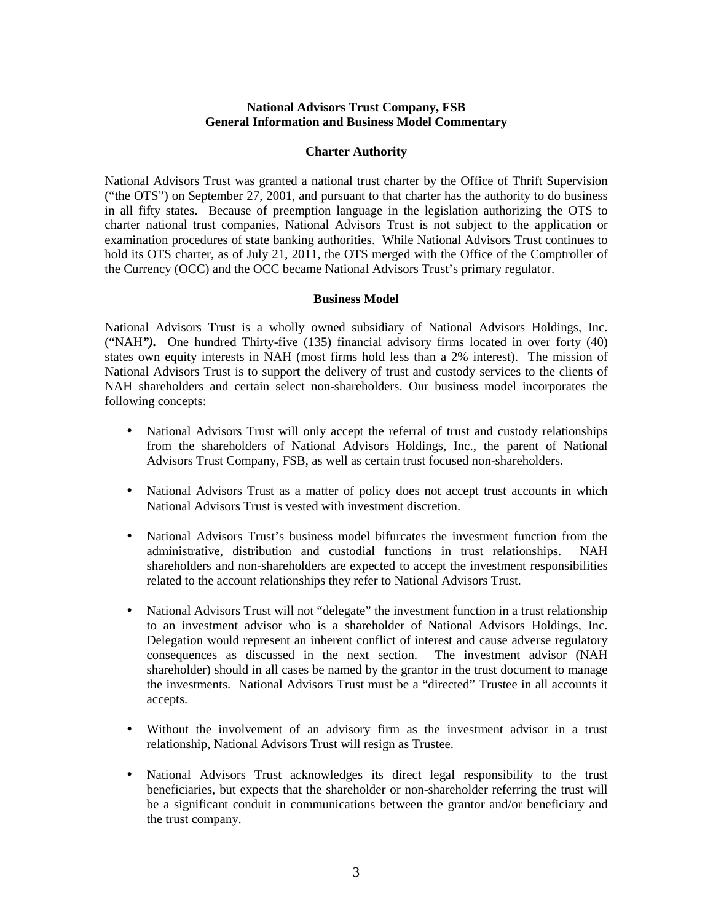# **National Advisors Trust Company, FSB General Information and Business Model Commentary**

### **Charter Authority**

National Advisors Trust was granted a national trust charter by the Office of Thrift Supervision ("the OTS") on September 27, 2001, and pursuant to that charter has the authority to do business in all fifty states. Because of preemption language in the legislation authorizing the OTS to charter national trust companies, National Advisors Trust is not subject to the application or examination procedures of state banking authorities. While National Advisors Trust continues to hold its OTS charter, as of July 21, 2011, the OTS merged with the Office of the Comptroller of the Currency (OCC) and the OCC became National Advisors Trust's primary regulator.

### **Business Model**

National Advisors Trust is a wholly owned subsidiary of National Advisors Holdings, Inc. ("NAH*").* One hundred Thirty-five (135) financial advisory firms located in over forty (40) states own equity interests in NAH (most firms hold less than a 2% interest). The mission of National Advisors Trust is to support the delivery of trust and custody services to the clients of NAH shareholders and certain select non-shareholders. Our business model incorporates the following concepts:

- National Advisors Trust will only accept the referral of trust and custody relationships from the shareholders of National Advisors Holdings, Inc., the parent of National Advisors Trust Company, FSB, as well as certain trust focused non-shareholders.
- National Advisors Trust as a matter of policy does not accept trust accounts in which National Advisors Trust is vested with investment discretion.
- National Advisors Trust's business model bifurcates the investment function from the administrative, distribution and custodial functions in trust relationships. NAH shareholders and non-shareholders are expected to accept the investment responsibilities related to the account relationships they refer to National Advisors Trust.
- National Advisors Trust will not "delegate" the investment function in a trust relationship to an investment advisor who is a shareholder of National Advisors Holdings, Inc. Delegation would represent an inherent conflict of interest and cause adverse regulatory consequences as discussed in the next section. The investment advisor (NAH shareholder) should in all cases be named by the grantor in the trust document to manage the investments. National Advisors Trust must be a "directed" Trustee in all accounts it accepts.
- Without the involvement of an advisory firm as the investment advisor in a trust relationship, National Advisors Trust will resign as Trustee.
- National Advisors Trust acknowledges its direct legal responsibility to the trust beneficiaries, but expects that the shareholder or non-shareholder referring the trust will be a significant conduit in communications between the grantor and/or beneficiary and the trust company.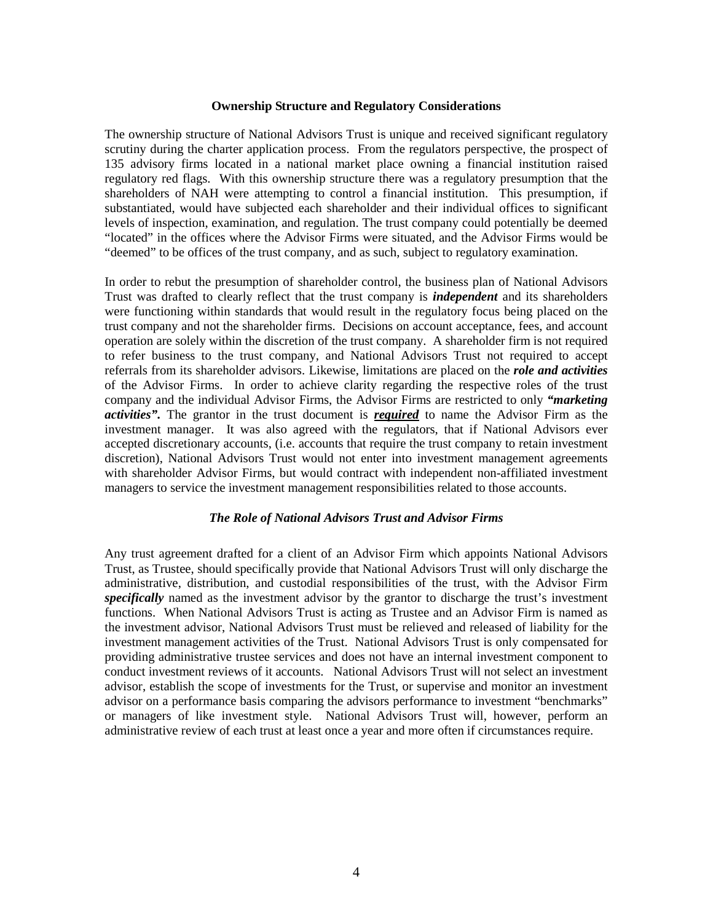#### **Ownership Structure and Regulatory Considerations**

The ownership structure of National Advisors Trust is unique and received significant regulatory scrutiny during the charter application process. From the regulators perspective, the prospect of 135 advisory firms located in a national market place owning a financial institution raised regulatory red flags. With this ownership structure there was a regulatory presumption that the shareholders of NAH were attempting to control a financial institution. This presumption, if substantiated, would have subjected each shareholder and their individual offices to significant levels of inspection, examination, and regulation. The trust company could potentially be deemed "located" in the offices where the Advisor Firms were situated, and the Advisor Firms would be "deemed" to be offices of the trust company, and as such, subject to regulatory examination.

In order to rebut the presumption of shareholder control, the business plan of National Advisors Trust was drafted to clearly reflect that the trust company is *independent* and its shareholders were functioning within standards that would result in the regulatory focus being placed on the trust company and not the shareholder firms. Decisions on account acceptance, fees, and account operation are solely within the discretion of the trust company. A shareholder firm is not required to refer business to the trust company, and National Advisors Trust not required to accept referrals from its shareholder advisors. Likewise, limitations are placed on the *role and activities* of the Advisor Firms. In order to achieve clarity regarding the respective roles of the trust company and the individual Advisor Firms, the Advisor Firms are restricted to only *"marketing activities".* The grantor in the trust document is *required* to name the Advisor Firm as the investment manager. It was also agreed with the regulators, that if National Advisors ever accepted discretionary accounts, (i.e. accounts that require the trust company to retain investment discretion), National Advisors Trust would not enter into investment management agreements with shareholder Advisor Firms, but would contract with independent non-affiliated investment managers to service the investment management responsibilities related to those accounts.

#### *The Role of National Advisors Trust and Advisor Firms*

Any trust agreement drafted for a client of an Advisor Firm which appoints National Advisors Trust, as Trustee, should specifically provide that National Advisors Trust will only discharge the administrative, distribution, and custodial responsibilities of the trust, with the Advisor Firm *specifically* named as the investment advisor by the grantor to discharge the trust's investment functions. When National Advisors Trust is acting as Trustee and an Advisor Firm is named as the investment advisor, National Advisors Trust must be relieved and released of liability for the investment management activities of the Trust. National Advisors Trust is only compensated for providing administrative trustee services and does not have an internal investment component to conduct investment reviews of it accounts. National Advisors Trust will not select an investment advisor, establish the scope of investments for the Trust, or supervise and monitor an investment advisor on a performance basis comparing the advisors performance to investment "benchmarks" or managers of like investment style. National Advisors Trust will, however, perform an administrative review of each trust at least once a year and more often if circumstances require.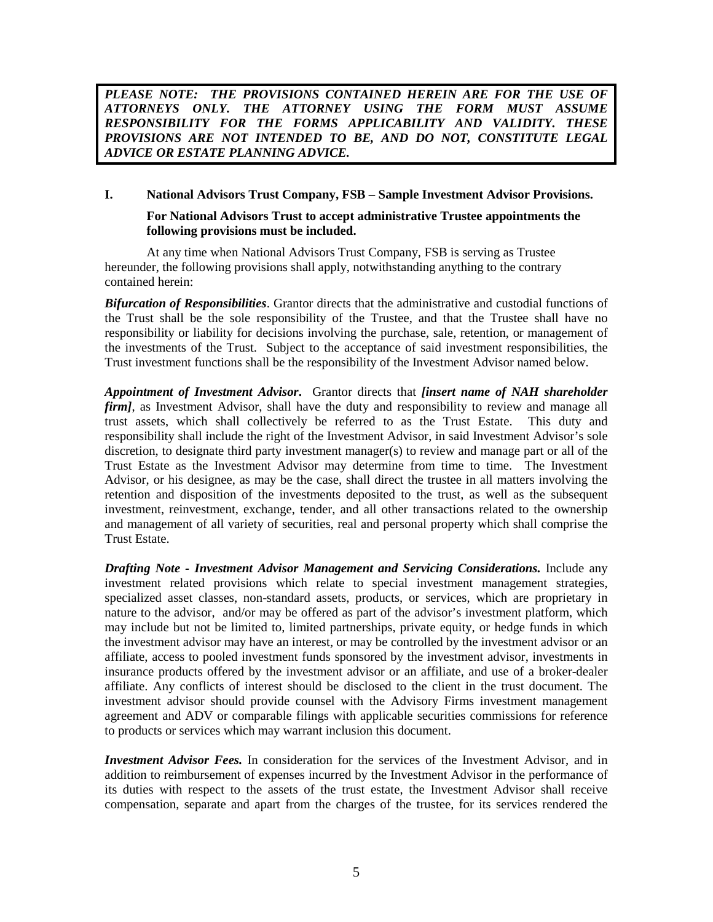PLEASE NOTE: THE PROVISIONS CONTAINED HEREIN ARE FOR THE USE OF *ATTORNEYS ONLY. THE ATTORNEY USING THE FORM MUST ASSUME RESPONSIBILITY FOR THE FORMS APPLICABILITY AND VALIDITY. THESE PROVISIONS ARE NOT INTENDED TO BE, AND DO NOT, CONSTITUTE LEGAL ADVICE OR ESTATE PLANNING ADVICE.* 

# **I. National Advisors Trust Company, FSB – Sample Investment Advisor Provisions.**

### **For National Advisors Trust to accept administrative Trustee appointments the following provisions must be included.**

At any time when National Advisors Trust Company, FSB is serving as Trustee hereunder, the following provisions shall apply, notwithstanding anything to the contrary contained herein:

*Bifurcation of Responsibilities*. Grantor directs that the administrative and custodial functions of the Trust shall be the sole responsibility of the Trustee, and that the Trustee shall have no responsibility or liability for decisions involving the purchase, sale, retention, or management of the investments of the Trust. Subject to the acceptance of said investment responsibilities, the Trust investment functions shall be the responsibility of the Investment Advisor named below.

*Appointment of Investment Advisor***.** Grantor directs that *[insert name of NAH shareholder firm]*, as Investment Advisor, shall have the duty and responsibility to review and manage all trust assets, which shall collectively be referred to as the Trust Estate. This duty and responsibility shall include the right of the Investment Advisor, in said Investment Advisor's sole discretion, to designate third party investment manager(s) to review and manage part or all of the Trust Estate as the Investment Advisor may determine from time to time. The Investment Advisor, or his designee, as may be the case, shall direct the trustee in all matters involving the retention and disposition of the investments deposited to the trust, as well as the subsequent investment, reinvestment, exchange, tender, and all other transactions related to the ownership and management of all variety of securities, real and personal property which shall comprise the Trust Estate.

*Drafting Note - Investment Advisor Management and Servicing Considerations.* Include any investment related provisions which relate to special investment management strategies, specialized asset classes, non-standard assets, products, or services, which are proprietary in nature to the advisor, and/or may be offered as part of the advisor's investment platform, which may include but not be limited to, limited partnerships, private equity, or hedge funds in which the investment advisor may have an interest, or may be controlled by the investment advisor or an affiliate, access to pooled investment funds sponsored by the investment advisor, investments in insurance products offered by the investment advisor or an affiliate, and use of a broker-dealer affiliate. Any conflicts of interest should be disclosed to the client in the trust document. The investment advisor should provide counsel with the Advisory Firms investment management agreement and ADV or comparable filings with applicable securities commissions for reference to products or services which may warrant inclusion this document.

*Investment Advisor Fees.* In consideration for the services of the Investment Advisor, and in addition to reimbursement of expenses incurred by the Investment Advisor in the performance of its duties with respect to the assets of the trust estate, the Investment Advisor shall receive compensation, separate and apart from the charges of the trustee, for its services rendered the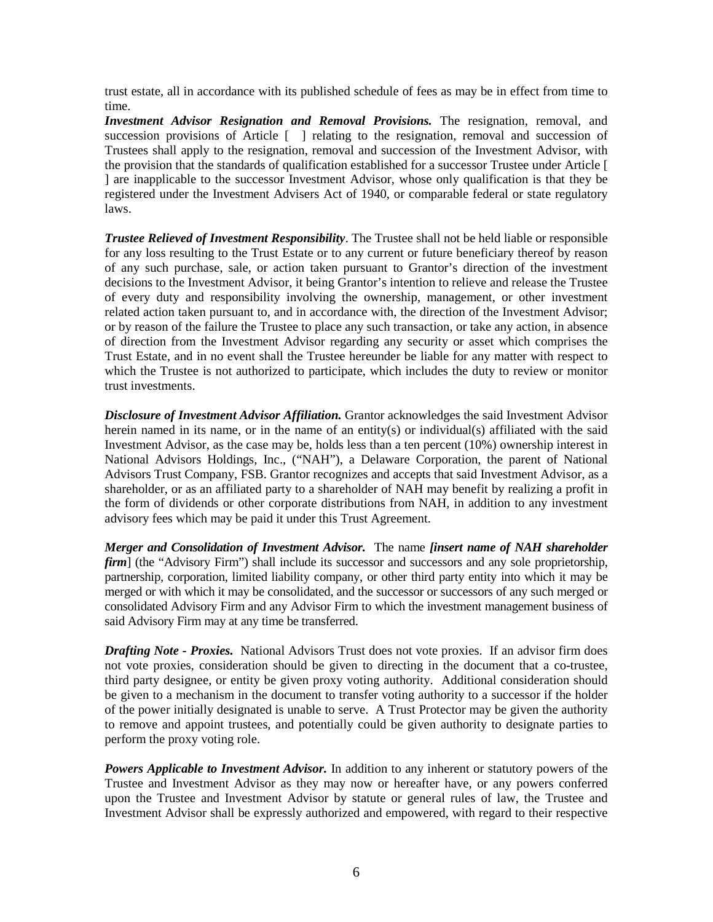trust estate, all in accordance with its published schedule of fees as may be in effect from time to time.

**Investment Advisor Resignation and Removal Provisions.** The resignation, removal, and succession provisions of Article [ ] relating to the resignation, removal and succession of Trustees shall apply to the resignation, removal and succession of the Investment Advisor, with the provision that the standards of qualification established for a successor Trustee under Article [ ] are inapplicable to the successor Investment Advisor, whose only qualification is that they be registered under the Investment Advisers Act of 1940, or comparable federal or state regulatory laws.

*Trustee Relieved of Investment Responsibility*. The Trustee shall not be held liable or responsible for any loss resulting to the Trust Estate or to any current or future beneficiary thereof by reason of any such purchase, sale, or action taken pursuant to Grantor's direction of the investment decisions to the Investment Advisor, it being Grantor's intention to relieve and release the Trustee of every duty and responsibility involving the ownership, management, or other investment related action taken pursuant to, and in accordance with, the direction of the Investment Advisor; or by reason of the failure the Trustee to place any such transaction, or take any action, in absence of direction from the Investment Advisor regarding any security or asset which comprises the Trust Estate, and in no event shall the Trustee hereunder be liable for any matter with respect to which the Trustee is not authorized to participate, which includes the duty to review or monitor trust investments.

*Disclosure of Investment Advisor Affiliation.* Grantor acknowledges the said Investment Advisor herein named in its name, or in the name of an entity(s) or individual(s) affiliated with the said Investment Advisor, as the case may be, holds less than a ten percent (10%) ownership interest in National Advisors Holdings, Inc., ("NAH"), a Delaware Corporation, the parent of National Advisors Trust Company, FSB. Grantor recognizes and accepts that said Investment Advisor, as a shareholder, or as an affiliated party to a shareholder of NAH may benefit by realizing a profit in the form of dividends or other corporate distributions from NAH, in addition to any investment advisory fees which may be paid it under this Trust Agreement.

*Merger and Consolidation of Investment Advisor.* The name *[insert name of NAH shareholder firm*] (the "Advisory Firm") shall include its successor and successors and any sole proprietorship, partnership, corporation, limited liability company, or other third party entity into which it may be merged or with which it may be consolidated, and the successor or successors of any such merged or consolidated Advisory Firm and any Advisor Firm to which the investment management business of said Advisory Firm may at any time be transferred.

*Drafting Note - Proxies.* National Advisors Trust does not vote proxies. If an advisor firm does not vote proxies, consideration should be given to directing in the document that a co-trustee, third party designee, or entity be given proxy voting authority. Additional consideration should be given to a mechanism in the document to transfer voting authority to a successor if the holder of the power initially designated is unable to serve. A Trust Protector may be given the authority to remove and appoint trustees, and potentially could be given authority to designate parties to perform the proxy voting role.

*Powers Applicable to Investment Advisor.* In addition to any inherent or statutory powers of the Trustee and Investment Advisor as they may now or hereafter have, or any powers conferred upon the Trustee and Investment Advisor by statute or general rules of law, the Trustee and Investment Advisor shall be expressly authorized and empowered, with regard to their respective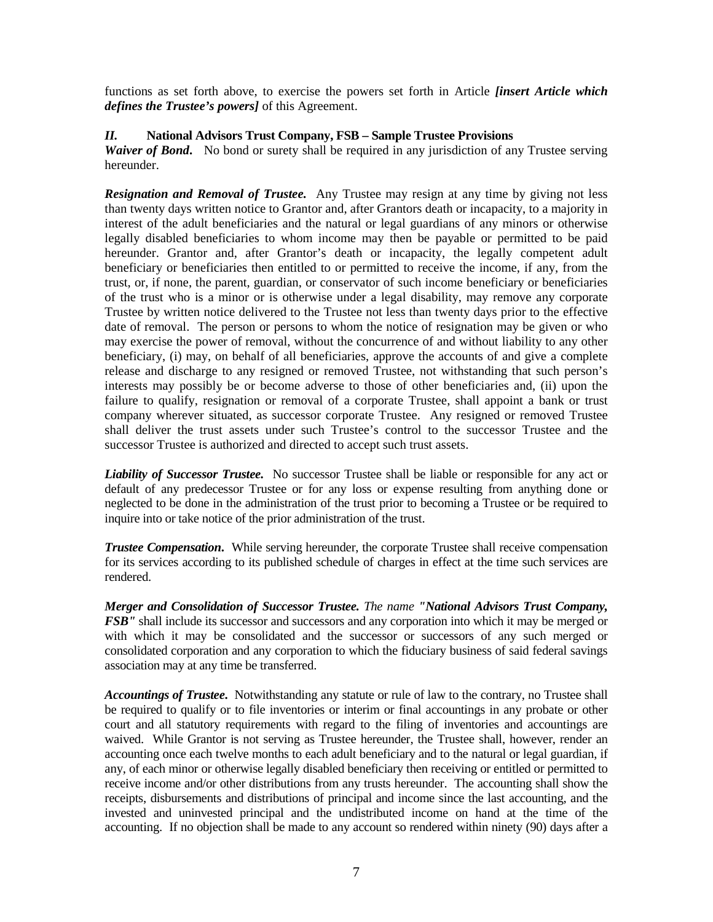functions as set forth above, to exercise the powers set forth in Article *[insert Article which defines the Trustee's powers]* of this Agreement.

# *II.* **National Advisors Trust Company, FSB – Sample Trustee Provisions**

*Waiver of Bond.* No bond or surety shall be required in any jurisdiction of any Trustee serving hereunder.

*Resignation and Removal of Trustee.* Any Trustee may resign at any time by giving not less than twenty days written notice to Grantor and, after Grantors death or incapacity, to a majority in interest of the adult beneficiaries and the natural or legal guardians of any minors or otherwise legally disabled beneficiaries to whom income may then be payable or permitted to be paid hereunder. Grantor and, after Grantor's death or incapacity, the legally competent adult beneficiary or beneficiaries then entitled to or permitted to receive the income, if any, from the trust, or, if none, the parent, guardian, or conservator of such income beneficiary or beneficiaries of the trust who is a minor or is otherwise under a legal disability, may remove any corporate Trustee by written notice delivered to the Trustee not less than twenty days prior to the effective date of removal. The person or persons to whom the notice of resignation may be given or who may exercise the power of removal, without the concurrence of and without liability to any other beneficiary, (i) may, on behalf of all beneficiaries, approve the accounts of and give a complete release and discharge to any resigned or removed Trustee, not withstanding that such person's interests may possibly be or become adverse to those of other beneficiaries and, (ii) upon the failure to qualify, resignation or removal of a corporate Trustee, shall appoint a bank or trust company wherever situated, as successor corporate Trustee. Any resigned or removed Trustee shall deliver the trust assets under such Trustee's control to the successor Trustee and the successor Trustee is authorized and directed to accept such trust assets.

*Liability of Successor Trustee.* No successor Trustee shall be liable or responsible for any act or default of any predecessor Trustee or for any loss or expense resulting from anything done or neglected to be done in the administration of the trust prior to becoming a Trustee or be required to inquire into or take notice of the prior administration of the trust.

*Trustee Compensation.* While serving hereunder, the corporate Trustee shall receive compensation for its services according to its published schedule of charges in effect at the time such services are rendered.

*Merger and Consolidation of Successor Trustee. The name "National Advisors Trust Company, FSB"* shall include its successor and successors and any corporation into which it may be merged or with which it may be consolidated and the successor or successors of any such merged or consolidated corporation and any corporation to which the fiduciary business of said federal savings association may at any time be transferred.

*Accountings of Trustee***.** Notwithstanding any statute or rule of law to the contrary, no Trustee shall be required to qualify or to file inventories or interim or final accountings in any probate or other court and all statutory requirements with regard to the filing of inventories and accountings are waived. While Grantor is not serving as Trustee hereunder, the Trustee shall, however, render an accounting once each twelve months to each adult beneficiary and to the natural or legal guardian, if any, of each minor or otherwise legally disabled beneficiary then receiving or entitled or permitted to receive income and/or other distributions from any trusts hereunder. The accounting shall show the receipts, disbursements and distributions of principal and income since the last accounting, and the invested and uninvested principal and the undistributed income on hand at the time of the accounting. If no objection shall be made to any account so rendered within ninety (90) days after a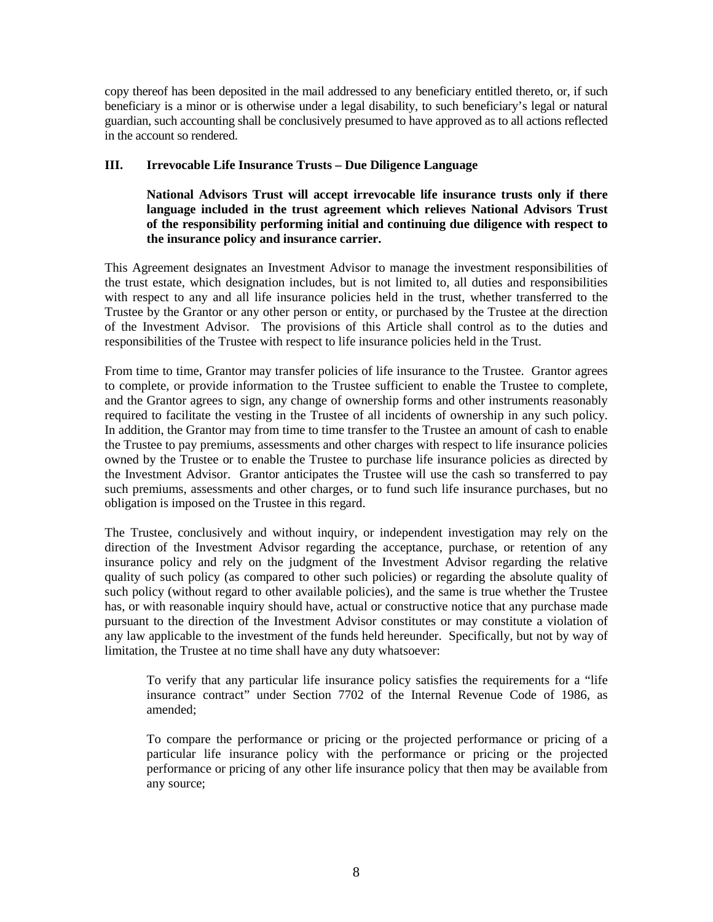copy thereof has been deposited in the mail addressed to any beneficiary entitled thereto, or, if such beneficiary is a minor or is otherwise under a legal disability, to such beneficiary's legal or natural guardian, such accounting shall be conclusively presumed to have approved as to all actions reflected in the account so rendered.

# **III. Irrevocable Life Insurance Trusts – Due Diligence Language**

 **National Advisors Trust will accept irrevocable life insurance trusts only if there language included in the trust agreement which relieves National Advisors Trust of the responsibility performing initial and continuing due diligence with respect to the insurance policy and insurance carrier.** 

This Agreement designates an Investment Advisor to manage the investment responsibilities of the trust estate, which designation includes, but is not limited to, all duties and responsibilities with respect to any and all life insurance policies held in the trust, whether transferred to the Trustee by the Grantor or any other person or entity, or purchased by the Trustee at the direction of the Investment Advisor. The provisions of this Article shall control as to the duties and responsibilities of the Trustee with respect to life insurance policies held in the Trust.

From time to time, Grantor may transfer policies of life insurance to the Trustee. Grantor agrees to complete, or provide information to the Trustee sufficient to enable the Trustee to complete, and the Grantor agrees to sign, any change of ownership forms and other instruments reasonably required to facilitate the vesting in the Trustee of all incidents of ownership in any such policy. In addition, the Grantor may from time to time transfer to the Trustee an amount of cash to enable the Trustee to pay premiums, assessments and other charges with respect to life insurance policies owned by the Trustee or to enable the Trustee to purchase life insurance policies as directed by the Investment Advisor. Grantor anticipates the Trustee will use the cash so transferred to pay such premiums, assessments and other charges, or to fund such life insurance purchases, but no obligation is imposed on the Trustee in this regard.

The Trustee, conclusively and without inquiry, or independent investigation may rely on the direction of the Investment Advisor regarding the acceptance, purchase, or retention of any insurance policy and rely on the judgment of the Investment Advisor regarding the relative quality of such policy (as compared to other such policies) or regarding the absolute quality of such policy (without regard to other available policies), and the same is true whether the Trustee has, or with reasonable inquiry should have, actual or constructive notice that any purchase made pursuant to the direction of the Investment Advisor constitutes or may constitute a violation of any law applicable to the investment of the funds held hereunder. Specifically, but not by way of limitation, the Trustee at no time shall have any duty whatsoever:

To verify that any particular life insurance policy satisfies the requirements for a "life insurance contract" under Section 7702 of the Internal Revenue Code of 1986, as amended;

To compare the performance or pricing or the projected performance or pricing of a particular life insurance policy with the performance or pricing or the projected performance or pricing of any other life insurance policy that then may be available from any source;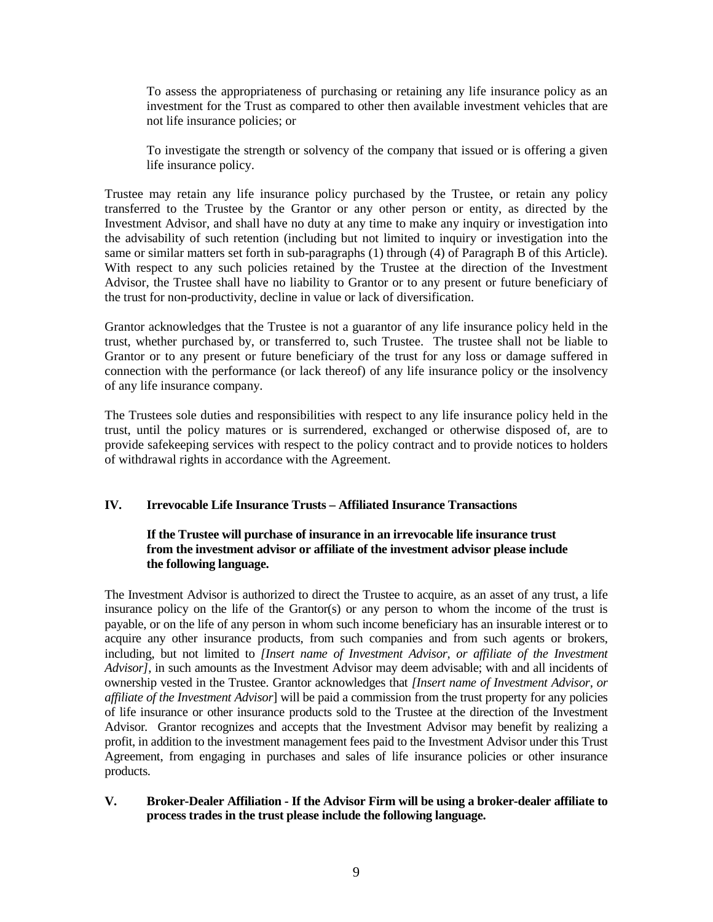To assess the appropriateness of purchasing or retaining any life insurance policy as an investment for the Trust as compared to other then available investment vehicles that are not life insurance policies; or

To investigate the strength or solvency of the company that issued or is offering a given life insurance policy.

Trustee may retain any life insurance policy purchased by the Trustee, or retain any policy transferred to the Trustee by the Grantor or any other person or entity, as directed by the Investment Advisor, and shall have no duty at any time to make any inquiry or investigation into the advisability of such retention (including but not limited to inquiry or investigation into the same or similar matters set forth in sub-paragraphs (1) through (4) of Paragraph B of this Article). With respect to any such policies retained by the Trustee at the direction of the Investment Advisor, the Trustee shall have no liability to Grantor or to any present or future beneficiary of the trust for non-productivity, decline in value or lack of diversification.

Grantor acknowledges that the Trustee is not a guarantor of any life insurance policy held in the trust, whether purchased by, or transferred to, such Trustee. The trustee shall not be liable to Grantor or to any present or future beneficiary of the trust for any loss or damage suffered in connection with the performance (or lack thereof) of any life insurance policy or the insolvency of any life insurance company.

The Trustees sole duties and responsibilities with respect to any life insurance policy held in the trust, until the policy matures or is surrendered, exchanged or otherwise disposed of, are to provide safekeeping services with respect to the policy contract and to provide notices to holders of withdrawal rights in accordance with the Agreement.

# **IV. Irrevocable Life Insurance Trusts – Affiliated Insurance Transactions**

# **If the Trustee will purchase of insurance in an irrevocable life insurance trust from the investment advisor or affiliate of the investment advisor please include the following language.**

The Investment Advisor is authorized to direct the Trustee to acquire, as an asset of any trust, a life insurance policy on the life of the Grantor(s) or any person to whom the income of the trust is payable, or on the life of any person in whom such income beneficiary has an insurable interest or to acquire any other insurance products, from such companies and from such agents or brokers, including, but not limited to *[Insert name of Investment Advisor, or affiliate of the Investment Advisor]*, in such amounts as the Investment Advisor may deem advisable; with and all incidents of ownership vested in the Trustee. Grantor acknowledges that *[Insert name of Investment Advisor, or affiliate of the Investment Advisor*] will be paid a commission from the trust property for any policies of life insurance or other insurance products sold to the Trustee at the direction of the Investment Advisor*.* Grantor recognizes and accepts that the Investment Advisor may benefit by realizing a profit, in addition to the investment management fees paid to the Investment Advisor under this Trust Agreement, from engaging in purchases and sales of life insurance policies or other insurance products.

# **V. Broker-Dealer Affiliation - If the Advisor Firm will be using a broker-dealer affiliate to process trades in the trust please include the following language.**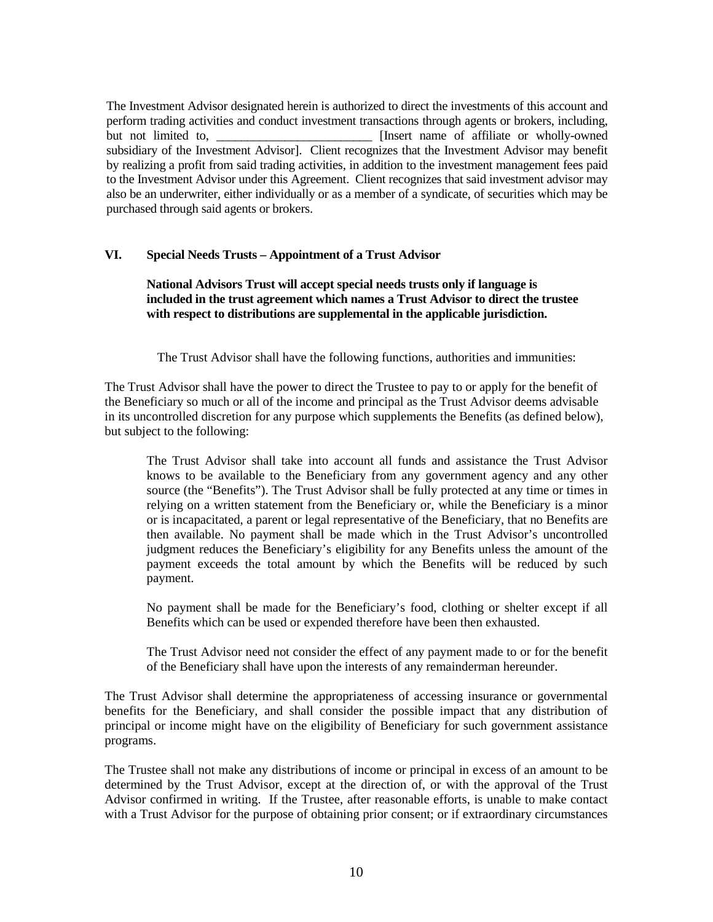The Investment Advisor designated herein is authorized to direct the investments of this account and perform trading activities and conduct investment transactions through agents or brokers, including, but not limited to, **EXECUTE:** [Insert name of affiliate or wholly-owned] subsidiary of the Investment Advisor]. Client recognizes that the Investment Advisor may benefit by realizing a profit from said trading activities, in addition to the investment management fees paid to the Investment Advisor under this Agreement. Client recognizes that said investment advisor may also be an underwriter, either individually or as a member of a syndicate, of securities which may be purchased through said agents or brokers.

# **VI. Special Needs Trusts – Appointment of a Trust Advisor**

# **National Advisors Trust will accept special needs trusts only if language is included in the trust agreement which names a Trust Advisor to direct the trustee with respect to distributions are supplemental in the applicable jurisdiction.**

The Trust Advisor shall have the following functions, authorities and immunities:

The Trust Advisor shall have the power to direct the Trustee to pay to or apply for the benefit of the Beneficiary so much or all of the income and principal as the Trust Advisor deems advisable in its uncontrolled discretion for any purpose which supplements the Benefits (as defined below), but subject to the following:

The Trust Advisor shall take into account all funds and assistance the Trust Advisor knows to be available to the Beneficiary from any government agency and any other source (the "Benefits"). The Trust Advisor shall be fully protected at any time or times in relying on a written statement from the Beneficiary or, while the Beneficiary is a minor or is incapacitated, a parent or legal representative of the Beneficiary, that no Benefits are then available. No payment shall be made which in the Trust Advisor's uncontrolled judgment reduces the Beneficiary's eligibility for any Benefits unless the amount of the payment exceeds the total amount by which the Benefits will be reduced by such payment.

No payment shall be made for the Beneficiary's food, clothing or shelter except if all Benefits which can be used or expended therefore have been then exhausted.

The Trust Advisor need not consider the effect of any payment made to or for the benefit of the Beneficiary shall have upon the interests of any remainderman hereunder.

The Trust Advisor shall determine the appropriateness of accessing insurance or governmental benefits for the Beneficiary, and shall consider the possible impact that any distribution of principal or income might have on the eligibility of Beneficiary for such government assistance programs.

The Trustee shall not make any distributions of income or principal in excess of an amount to be determined by the Trust Advisor, except at the direction of, or with the approval of the Trust Advisor confirmed in writing. If the Trustee, after reasonable efforts, is unable to make contact with a Trust Advisor for the purpose of obtaining prior consent; or if extraordinary circumstances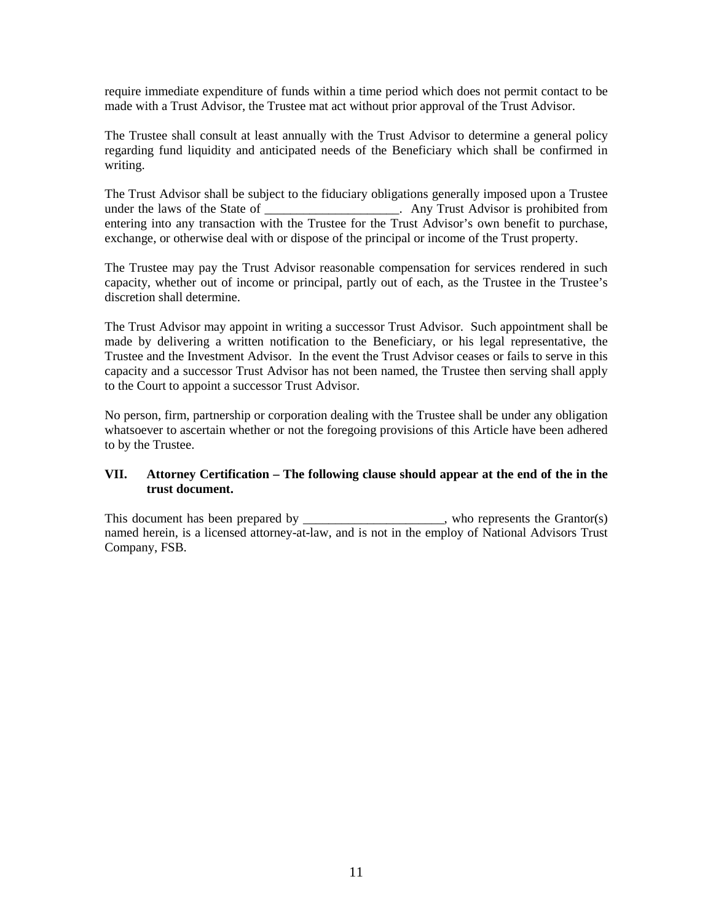require immediate expenditure of funds within a time period which does not permit contact to be made with a Trust Advisor, the Trustee mat act without prior approval of the Trust Advisor.

The Trustee shall consult at least annually with the Trust Advisor to determine a general policy regarding fund liquidity and anticipated needs of the Beneficiary which shall be confirmed in writing.

The Trust Advisor shall be subject to the fiduciary obligations generally imposed upon a Trustee under the laws of the State of \_\_\_\_\_\_\_\_\_\_\_\_\_\_\_\_\_\_\_\_\_\_. Any Trust Advisor is prohibited from entering into any transaction with the Trustee for the Trust Advisor's own benefit to purchase, exchange, or otherwise deal with or dispose of the principal or income of the Trust property.

The Trustee may pay the Trust Advisor reasonable compensation for services rendered in such capacity, whether out of income or principal, partly out of each, as the Trustee in the Trustee's discretion shall determine.

The Trust Advisor may appoint in writing a successor Trust Advisor. Such appointment shall be made by delivering a written notification to the Beneficiary, or his legal representative, the Trustee and the Investment Advisor. In the event the Trust Advisor ceases or fails to serve in this capacity and a successor Trust Advisor has not been named, the Trustee then serving shall apply to the Court to appoint a successor Trust Advisor.

No person, firm, partnership or corporation dealing with the Trustee shall be under any obligation whatsoever to ascertain whether or not the foregoing provisions of this Article have been adhered to by the Trustee.

# **VII. Attorney Certification – The following clause should appear at the end of the in the trust document.**

This document has been prepared by \_\_\_\_\_\_\_\_\_\_\_\_\_\_\_\_\_, who represents the Grantor(s) named herein, is a licensed attorney-at-law, and is not in the employ of National Advisors Trust Company, FSB.